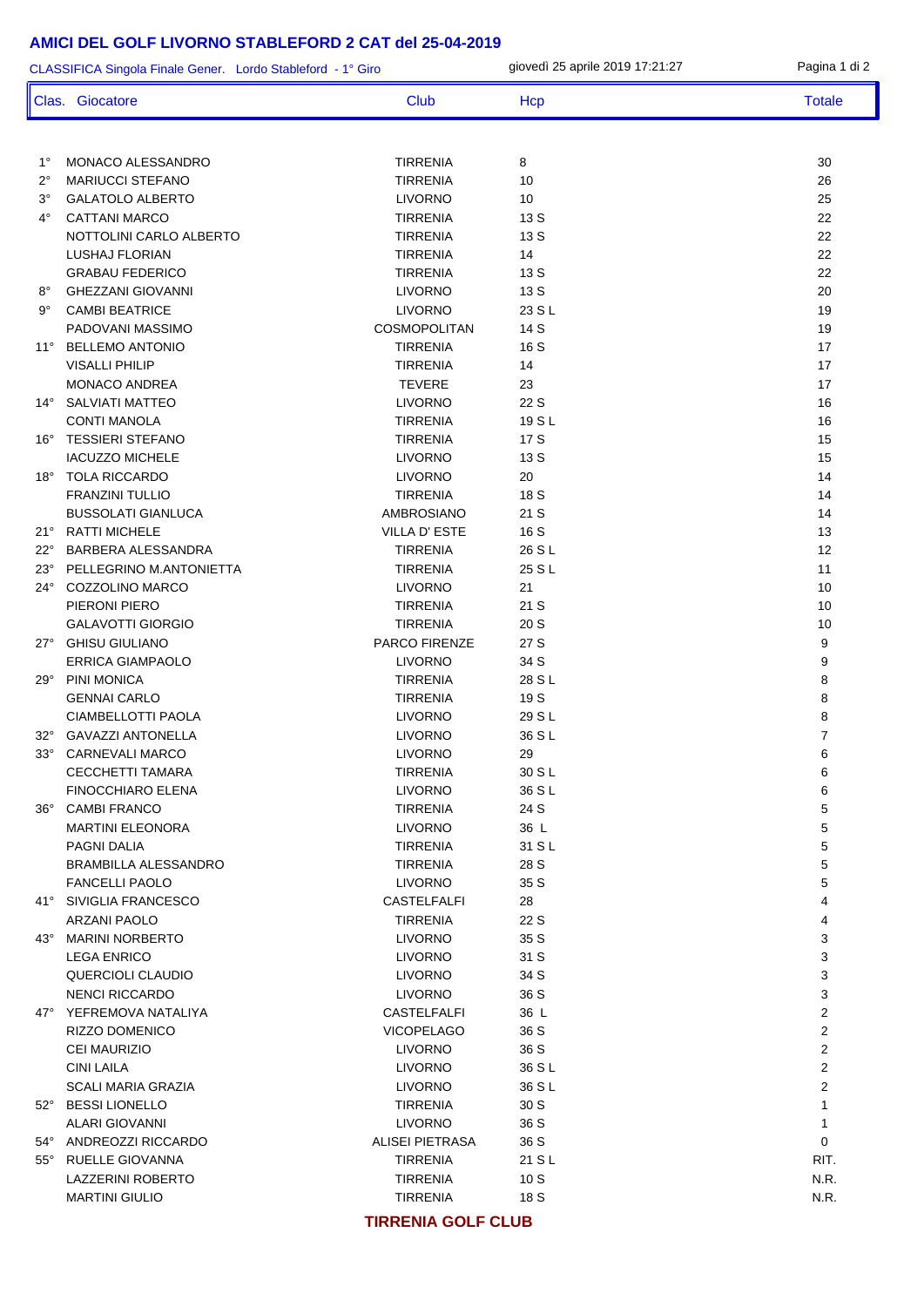| CLASSIFICA Singola Finale Gener. Lordo Stableford - 1° Giro |                                                |                                     | giovedì 25 aprile 2019 17:21:27 | Pagina 1 di 2       |
|-------------------------------------------------------------|------------------------------------------------|-------------------------------------|---------------------------------|---------------------|
|                                                             | Clas. Giocatore                                | Club                                | Hcp                             | <b>Totale</b>       |
|                                                             |                                                |                                     |                                 |                     |
| $1^{\circ}$                                                 | <b>MONACO ALESSANDRO</b>                       | <b>TIRRENIA</b>                     | 8                               | 30                  |
| $2^{\circ}$                                                 | <b>MARIUCCI STEFANO</b>                        | TIRRENIA                            | 10                              | 26                  |
| $3^\circ$                                                   | <b>GALATOLO ALBERTO</b>                        | <b>LIVORNO</b>                      | 10                              | 25                  |
| $4^{\circ}$                                                 | <b>CATTANI MARCO</b>                           | <b>TIRRENIA</b>                     | 13 S                            | 22                  |
|                                                             | NOTTOLINI CARLO ALBERTO                        | <b>TIRRENIA</b>                     | 13 S                            | 22                  |
|                                                             | <b>LUSHAJ FLORIAN</b>                          | <b>TIRRENIA</b>                     | 14                              | 22                  |
|                                                             | <b>GRABAU FEDERICO</b>                         | <b>TIRRENIA</b>                     | 13 S                            | 22                  |
| $8^{\circ}$                                                 | <b>GHEZZANI GIOVANNI</b>                       | <b>LIVORNO</b>                      | 13 S                            | 20                  |
| $9^{\circ}$                                                 | <b>CAMBI BEATRICE</b>                          | <b>LIVORNO</b>                      | 23 S L                          | 19                  |
|                                                             | PADOVANI MASSIMO                               | COSMOPOLITAN                        | 14 S                            | 19                  |
| $11^{\circ}$                                                | <b>BELLEMO ANTONIO</b>                         | <b>TIRRENIA</b>                     | 16 S                            | 17                  |
|                                                             | <b>VISALLI PHILIP</b>                          | <b>TIRRENIA</b>                     | 14                              | 17                  |
|                                                             | MONACO ANDREA                                  | <b>TEVERE</b>                       | 23                              | 17                  |
| $14^{\circ}$                                                | <b>SALVIATI MATTEO</b>                         | <b>LIVORNO</b>                      | 22 S                            | 16                  |
|                                                             | <b>CONTI MANOLA</b><br><b>TESSIERI STEFANO</b> | <b>TIRRENIA</b>                     | 19 S L<br>17 S                  | 16<br>15            |
| $16^{\circ}$                                                | <b>IACUZZO MICHELE</b>                         | <b>TIRRENIA</b>                     |                                 | 15                  |
|                                                             |                                                | <b>LIVORNO</b>                      | 13 S<br>20                      | 14                  |
| $18^\circ$                                                  | <b>TOLA RICCARDO</b><br><b>FRANZINI TULLIO</b> | <b>LIVORNO</b><br><b>TIRRENIA</b>   | 18 S                            | 14                  |
|                                                             | <b>BUSSOLATI GIANLUCA</b>                      | AMBROSIANO                          | 21 S                            | 14                  |
|                                                             | 21° RATTI MICHELE                              | VILLA D'ESTE                        | 16 S                            | 13                  |
| $22^{\circ}$                                                | BARBERA ALESSANDRA                             | <b>TIRRENIA</b>                     | 26 S L                          | 12                  |
|                                                             | 23° PELLEGRINO M.ANTONIETTA                    | <b>TIRRENIA</b>                     | 25 S L                          | 11                  |
| $24^{\circ}$                                                | COZZOLINO MARCO                                | <b>LIVORNO</b>                      | 21                              | 10                  |
|                                                             | PIERONI PIERO                                  | <b>TIRRENIA</b>                     | 21 S                            | 10                  |
|                                                             | <b>GALAVOTTI GIORGIO</b>                       | <b>TIRRENIA</b>                     | 20 S                            | 10                  |
|                                                             | 27° GHISU GIULIANO                             | PARCO FIRENZE                       | 27 S                            | 9                   |
|                                                             | <b>ERRICA GIAMPAOLO</b>                        | <b>LIVORNO</b>                      | 34 S                            | 9                   |
| $29^{\circ}$                                                | PINI MONICA                                    | <b>TIRRENIA</b>                     | 28 S L                          | 8                   |
|                                                             | <b>GENNAI CARLO</b>                            | <b>TIRRENIA</b>                     | 19 S                            | 8                   |
|                                                             | <b>CIAMBELLOTTI PAOLA</b>                      | <b>LIVORNO</b>                      | 29 S L                          | 8                   |
|                                                             | 32° GAVAZZI ANTONELLA                          | <b>LIVORNO</b>                      | 36 S L                          | $\overline{7}$      |
|                                                             | 33° CARNEVALI MARCO                            | <b>LIVORNO</b>                      | 29                              | 6                   |
|                                                             | <b>CECCHETTI TAMARA</b>                        | TIRRENIA                            | 30 S L                          | 6                   |
|                                                             | <b>FINOCCHIARO ELENA</b>                       | <b>LIVORNO</b>                      | 36 S L                          | 6                   |
|                                                             | 36° CAMBI FRANCO                               | TIRRENIA                            | 24 S                            | 5                   |
|                                                             | <b>MARTINI ELEONORA</b>                        | <b>LIVORNO</b>                      | 36 L                            | 5                   |
|                                                             | PAGNI DALIA                                    | TIRRENIA                            | 31 S L                          | 5                   |
|                                                             | <b>BRAMBILLA ALESSANDRO</b>                    | TIRRENIA                            | 28 S                            | 5                   |
|                                                             | <b>FANCELLI PAOLO</b>                          | <b>LIVORNO</b>                      | 35 S                            | 5                   |
|                                                             | 41° SIVIGLIA FRANCESCO                         | CASTELFALFI                         | 28                              | 4                   |
|                                                             | <b>ARZANI PAOLO</b>                            | <b>TIRRENIA</b>                     | 22 S                            | 4                   |
|                                                             | 43° MARINI NORBERTO                            | <b>LIVORNO</b>                      | 35 S                            | 3                   |
|                                                             | <b>LEGA ENRICO</b>                             | <b>LIVORNO</b>                      | 31 S                            | 3                   |
|                                                             | QUERCIOLI CLAUDIO                              | <b>LIVORNO</b>                      | 34 S                            | 3                   |
|                                                             | <b>NENCI RICCARDO</b>                          | <b>LIVORNO</b>                      | 36 S                            | 3                   |
|                                                             | 47° YEFREMOVA NATALIYA                         | CASTELFALFI                         | 36 L                            | $\overline{c}$<br>2 |
|                                                             | RIZZO DOMENICO<br><b>CEI MAURIZIO</b>          | <b>VICOPELAGO</b><br><b>LIVORNO</b> | 36 S<br>36 S                    | 2                   |
|                                                             | <b>CINI LAILA</b>                              | <b>LIVORNO</b>                      | 36 S L                          | 2                   |
|                                                             | <b>SCALI MARIA GRAZIA</b>                      | <b>LIVORNO</b>                      | 36 S L                          | 2                   |
|                                                             | 52° BESSI LIONELLO                             | <b>TIRRENIA</b>                     | 30S                             | $\mathbf{1}$        |
|                                                             | ALARI GIOVANNI                                 | <b>LIVORNO</b>                      | 36 S                            | 1                   |
|                                                             | 54° ANDREOZZI RICCARDO                         | ALISEI PIETRASA                     | 36 S                            | 0                   |
|                                                             | 55° RUELLE GIOVANNA                            | TIRRENIA                            | 21 S L                          | RIT.                |
|                                                             | LAZZERINI ROBERTO                              | TIRRENIA                            | 10S                             | N.R.                |
|                                                             | <b>MARTINI GIULIO</b>                          | TIRRENIA                            | 18 S                            | N.R.                |
|                                                             |                                                |                                     |                                 |                     |

#### **TIRRENIA GOLF CLUB**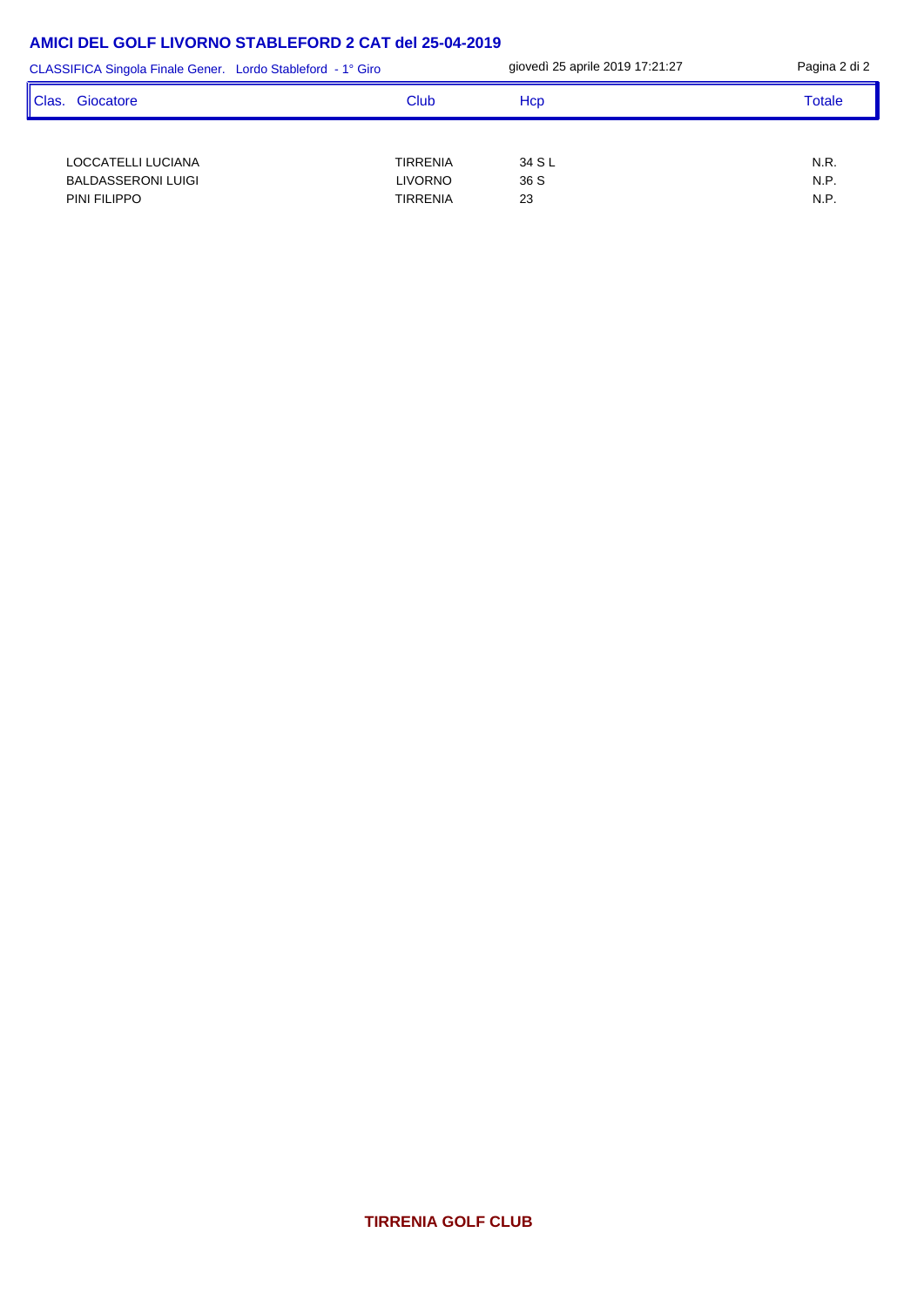| CLASSIFICA Singola Finale Gener. Lordo Stableford - 1° Giro     |                                        | giovedì 25 aprile 2019 17:21:27 | Pagina 2 di 2        |
|-----------------------------------------------------------------|----------------------------------------|---------------------------------|----------------------|
| l Clas.<br>Giocatore                                            | Club                                   | Hcp                             | Totale               |
| LOCCATELLI LUCIANA<br><b>BALDASSERONI LUIGI</b><br>PINI FILIPPO | TIRRENIA<br><b>LIVORNO</b><br>TIRRENIA | 34 S L<br>36 S<br>23            | N.R.<br>N.P.<br>N.P. |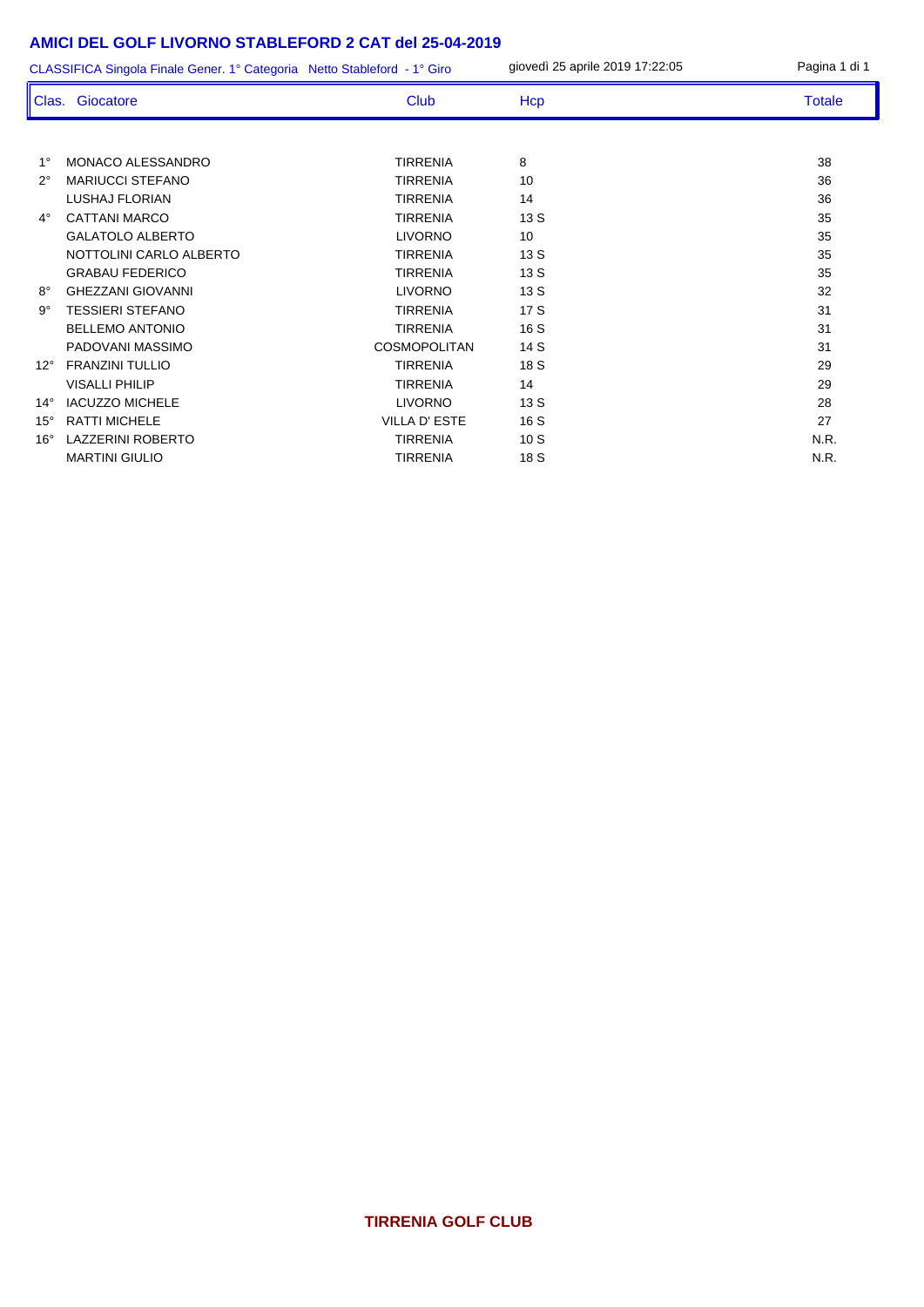|              | CLASSIFICA Singola Finale Gener. 1° Categoria Netto Stableford - 1° Giro |                     | giovedì 25 aprile 2019 17:22:05 | Pagina 1 di 1 |
|--------------|--------------------------------------------------------------------------|---------------------|---------------------------------|---------------|
|              | Clas. Giocatore                                                          | <b>Club</b>         | Hcp                             | <b>Totale</b> |
|              |                                                                          |                     |                                 |               |
| $1^{\circ}$  | MONACO ALESSANDRO                                                        | <b>TIRRENIA</b>     | 8                               | 38            |
| $2^{\circ}$  | <b>MARIUCCI STEFANO</b>                                                  | <b>TIRRENIA</b>     | 10                              | 36            |
|              | <b>LUSHAJ FLORIAN</b>                                                    | <b>TIRRENIA</b>     | 14                              | 36            |
| $4^\circ$    | <b>CATTANI MARCO</b>                                                     | <b>TIRRENIA</b>     | 13S                             | 35            |
|              | <b>GALATOLO ALBERTO</b>                                                  | <b>LIVORNO</b>      | 10                              | 35            |
|              | NOTTOLINI CARLO ALBERTO                                                  | <b>TIRRENIA</b>     | 13S                             | 35            |
|              | <b>GRABAU FEDERICO</b>                                                   | <b>TIRRENIA</b>     | 13S                             | 35            |
| $8^{\circ}$  | <b>GHEZZANI GIOVANNI</b>                                                 | <b>LIVORNO</b>      | 13S                             | 32            |
| 9°           | <b>TESSIERI STEFANO</b>                                                  | <b>TIRRENIA</b>     | 17 S                            | 31            |
|              | <b>BELLEMO ANTONIO</b>                                                   | <b>TIRRENIA</b>     | 16 S                            | 31            |
|              | PADOVANI MASSIMO                                                         | <b>COSMOPOLITAN</b> | 14 S                            | 31            |
| $12^{\circ}$ | <b>FRANZINI TULLIO</b>                                                   | <b>TIRRENIA</b>     | 18 S                            | 29            |
|              | <b>VISALLI PHILIP</b>                                                    | <b>TIRRENIA</b>     | 14                              | 29            |
| $14^{\circ}$ | <b>IACUZZO MICHELE</b>                                                   | <b>LIVORNO</b>      | 13 S                            | 28            |
| $15^\circ$   | <b>RATTI MICHELE</b>                                                     | <b>VILLA D'ESTE</b> | 16 S                            | 27            |
| $16^\circ$   | LAZZERINI ROBERTO                                                        | <b>TIRRENIA</b>     | 10S                             | N.R.          |
|              | <b>MARTINI GIULIO</b>                                                    | <b>TIRRENIA</b>     | 18 S                            | N.R.          |